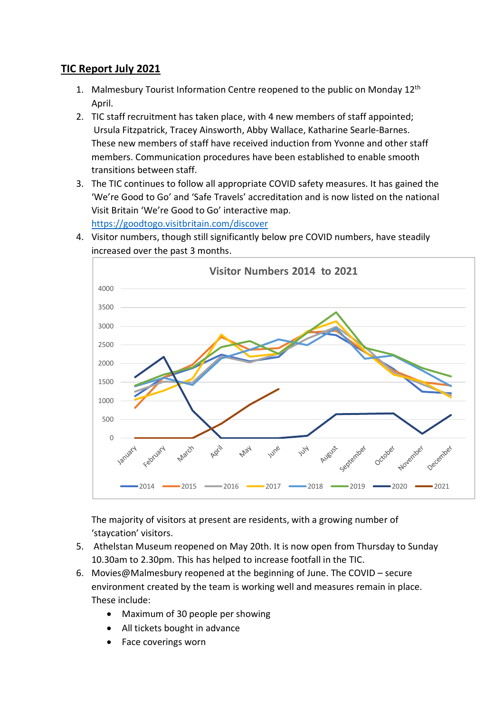## **TIC Report July 2021**

- 1. Malmesbury Tourist Information Centre reopened to the public on Monday 12<sup>th</sup> April.
- 2. TIC staff recruitment has taken place, with 4 new members of staff appointed; Ursula Fitzpatrick, Tracey Ainsworth, Abby Wallace, Katharine Searle-Barnes. These new members of staff have received induction from Yvonne and other staff members. Communication procedures have been established to enable smooth transitions between staff.
- 3. The TIC continues to follow all appropriate COVID safety measures. It has gained the 'We're Good to Go' and 'Safe Travels' accreditation and is now listed on the national Visit Britain 'We're Good to Go' interactive map. <https://goodtogo.visitbritain.com/discover>



4. Visitor numbers, though still significantly below pre COVID numbers, have steadily increased over the past 3 months.

The majority of visitors at present are residents, with a growing number of 'staycation' visitors.

- 5. Athelstan Museum reopened on May 20th. It is now open from Thursday to Sunday 10.30am to 2.30pm. This has helped to increase footfall in the TIC.
- 6. Movies@Malmesbury reopened at the beginning of June. The COVID secure environment created by the team is working well and measures remain in place. These include:
	- Maximum of 30 people per showing
	- All tickets bought in advance
	- Face coverings worn